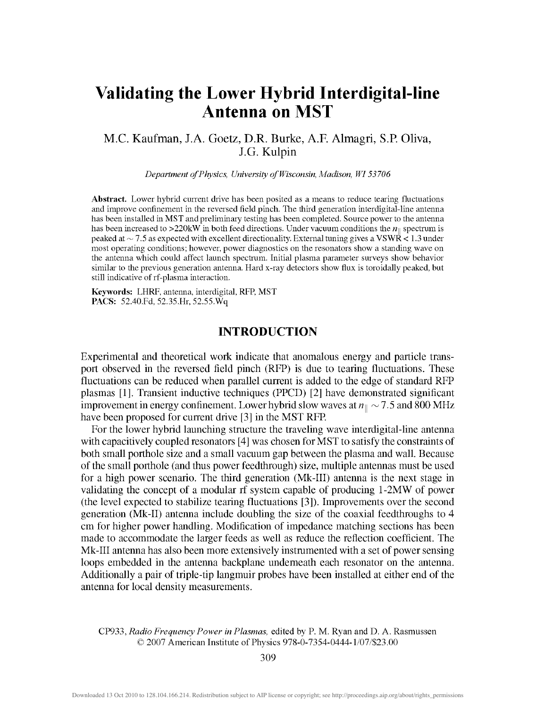# **Validating the Lower Hybrid Interdigital-line Antenna on MST**

# M.C. Kaufman, J.A. Goetz, D.R. Burke, A.R Almagri, S.P. Oliva, J.G. Kulpin

*Department of Physics, University of Wisconsin, Madison, WI53706* 

**Abstract.** Lower hybrid current drive has been posited as a means to reduce tearing fluctuations and improve confinement in the reversed field pinch. The third generation interdigital-line antenna has been installed in MST and preliminary testing has been completed. Source power to the antenna has been increased to >220kW in both feed directions. Under vacuum conditions the *nu* spectrum is peaked at  $\sim$  7.5 as expected with excellent directionality. External tuning gives a VSWR < 1.3 under most operating conditions; however, power diagnostics on the resonators show a standing wave on the antenna which could affect launch spectrum. Initial plasma parameter surveys show behavior similar to the previous generation antenna. Hard x-ray detectors show flux is toroidally peaked, but still indicative of rf-plasma interaction.

**Keywords:** LHRF, antenna, interdigital, RFP, MST **PACS:** 52.40.Fd, 52.35.Hr, 52.55.Wq

# INTRODUCTION

Experimental and theoretical work indicate that anomalous energy and particle transport observed in the reversed field pinch (RFP) is due to tearing fluctuations. These fluctuations can be reduced when parallel current is added to the edge of standard RFP plasmas [1]. Transient inductive techniques (PPCD) [2] have demonstrated significant improvement in energy confinement. Lower hybrid slow waves at  $n_{\parallel} \sim 7.5$  and 800 MHz have been proposed for current drive [3] in the MST RFP.

For the lower hybrid launching structure the traveling wave interdigital-line antenna with capacitively coupled resonators [4] was chosen for MST to satisfy the constraints of both small porthole size and a small vacuum gap between the plasma and wall. Because of the small porthole (and thus power feedthrough) size, multiple antennas must be used for a high power scenario. The third generation (Mk-III) antenna is the next stage in validating the concept of a modular rf system capable of producing 1-2MW of power (the level expected to stabilize tearing fluctuations [3]). Improvements over the second generation (Mk-II) antenna include doubling the size of the coaxial feedthroughs to 4 cm for higher power handling. Modification of impedance matching sections has been made to accommodate the larger feeds as well as reduce the reflection coefficient. The Mk-III antenna has also been more extensively instramented with a set of power sensing loops embedded in the antenna backplane undemeath each resonator on the antenna. Additionally a pair of triple-tip langmuir probes have been installed at either end of the antenna for local density measurements.

CP933, *Radio Frequency Power in Plasmas,* edited by P. M. Ryan and D. A. Rasmussen © 2007 American Institute of Physics 978-0-7354-0444-1/07/\$23.00

309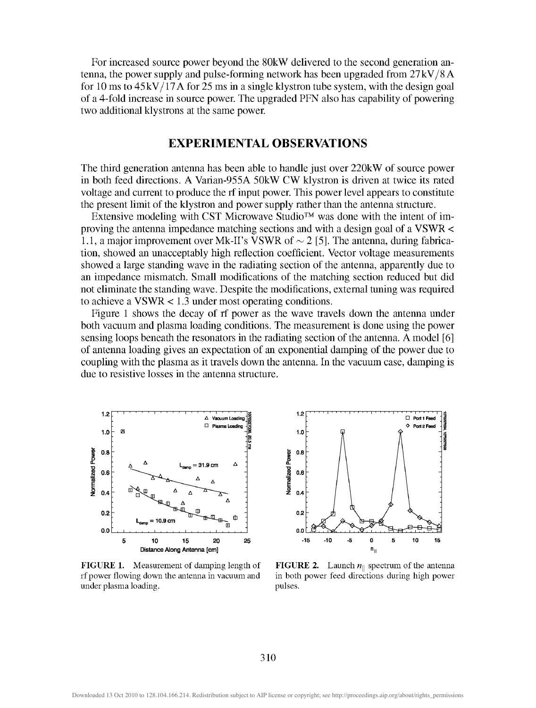For increased source power beyond the 80kW delivered to the second generation antenna, the power supply and pulse-forming network has been upgraded from 27kV/8 A for 10 ms to  $45kV/17A$  for 25 ms in a single klystron tube system, with the design goal of a 4-fold increase in source power. The upgraded PFN also has capability of powering two additional klystrons at the same power

### EXPERIMENTAL OBSERVATIONS

The third generation antenna has been able to handle just over 220kW of source power in both feed directions. A Varian-955A 50kW CW klystron is driven at twice its rated voltage and current to produce the rf input power. This power level appears to constitute the present limit of the klystron and power supply rather than the antenna stracture.

Extensive modeling with CST Microwave Studio<sup>TM</sup> was done with the intent of improving the antenna impedance matching sections and with a design goal of a VSWR < 1.1, a major improvement over Mk-II's VSWR of  $\sim$  2 [5]. The antenna, during fabrication, showed an unacceptably high reflection coefficient. Vector voltage measurements showed a large standing wave in the radiating section of the antenna, apparently due to an impedance mismatch. Small modifications of the matching section reduced but did not eliminate the standing wave. Despite the modifications, external tuning was required to achieve a VSWR < 1.3 under most operating conditions.

Figure 1 shows the decay of rf power as the wave travels down the antenna under both vacuum and plasma loading conditions. The measurement is done using the power sensing loops beneath the resonators in the radiating section of the antenna. A model [6] of antenna loading gives an expectation of an exponential damping of the power due to coupling with the plasma as it travels down the antenna. In the vacuum case, damping is due to resistive losses in the antenna structure.



**FIGURE 1.** Measurement of damping length of **FIGURE 2.** Launch  $n_{\parallel}$  spectrum of the antenna under plasma loading.  $p$  pulses.



rf power flowing down the antenna in vacuum and in both power feed directions during high power

310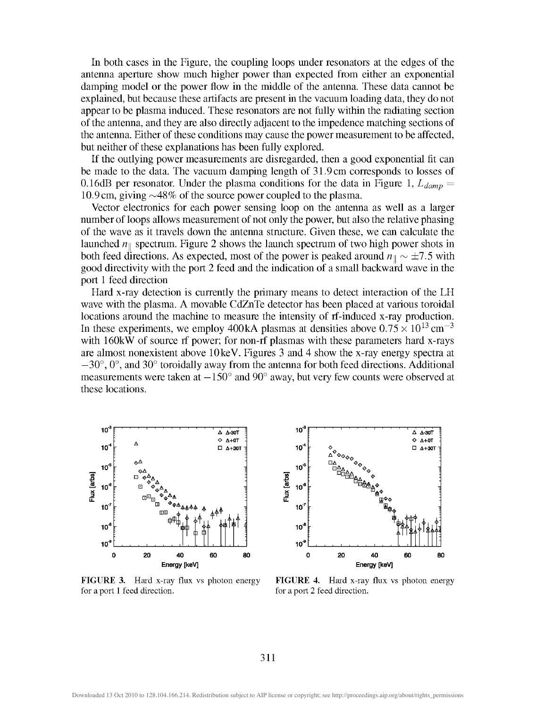In both cases in the Figure, the coupling loops under resonators at the edges of the antenna aperture show much higher power than expected from either an exponential damping model or the power flow in the middle of the antenna. These data cannot be explained, but because these artifacts are present in the vacuum loading data, they do not appear to be plasma induced. These resonators are not fully within the radiating section of the antenna, and they are also directly adjacent to the impedence matching sections of the antenna. Either of these conditions may cause the power measurement to be affected, but neither of these explanations has been fully explored.

If the outlying power measurements are disregarded, then a good exponential fit can be made to the data. The vacuum damping length of 31.9 cm corresponds to losses of 0.16dB per resonator. Under the plasma conditions for the data in Figure 1,  $L_{damp}$ 10.9 cm, giving  $\sim$ 48% of the source power coupled to the plasma.

Vector electronics for each power sensing loop on the antenna as well as a larger number of loops allows measurement of not only the power, but also the relative phasing of the wave as it travels down the antenna stracture. Given these, we can calculate the launched  $n_{\parallel}$  spectrum. Figure 2 shows the launch spectrum of two high power shots in both feed directions. As expected, most of the power is peaked around  $n_{\parallel} \sim \pm 7.5$  with good directivity with the port 2 feed and the indication of a small backward wave in the port 1 feed direction

Hard x-ray detection is currently the primary means to detect interaction of the LH wave with the plasma. A movable CdZnTe detector has been placed at various toroidal locations around the machine to measure the intensity of rf-induced x-ray production. In these experiments, we employ 400kA plasmas at densities above  $0.75 \times 10^{13}$  cm<sup>-3</sup> with 160kW of source rf power; for non-rf plasmas with these parameters hard x-rays are almost nonexistent above lOkeV. Figures 3 and 4 show the x-ray energy spectra at  $-30^{\circ}$ ,  $0^{\circ}$ , and  $30^{\circ}$  toroidally away from the antenna for both feed directions. Additional measurements were taken at  $-150^{\circ}$  and  $90^{\circ}$  away, but very few counts were observed at these locations.



for a port 1 feed direction. for a port 2 feed direction.



FIGURE 3. Hard x-ray flux vs photon energy FIGURE 4. Hard x-ray flux vs photon energy

311